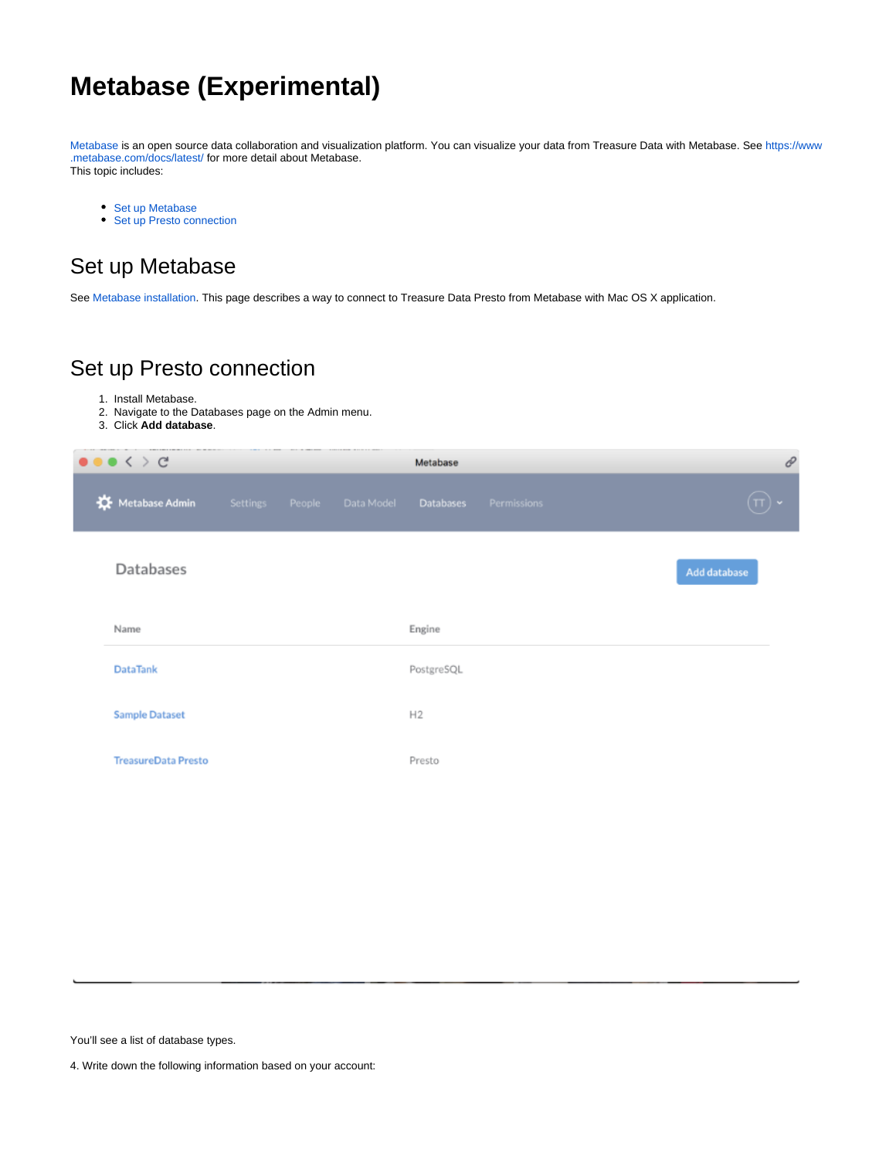# **Metabase (Experimental)**

[Metabase](https://www.metabase.com/) is an open source data collaboration and visualization platform. You can visualize your data from Treasure Data with Metabase. See [https://www](https://www.metabase.com/docs/latest/) [.metabase.com/docs/latest/](https://www.metabase.com/docs/latest/) for more detail about Metabase. This topic includes:

- [Set up Metabase](#page-0-0)
- [Set up Presto connection](#page-0-1)

## <span id="page-0-0"></span>Set up Metabase

See [Metabase installation.](https://www.metabase.com/docs/latest/operations-guide/start.html#installing-and-running-metabase) This page describes a way to connect to Treasure Data Presto from Metabase with Mac OS X application.

### <span id="page-0-1"></span>Set up Presto connection

- 1. Install Metabase.
- 2. Navigate to the Databases page on the Admin menu.
- 3. Click **Add database**.

| $\bullet \bullet \bullet \leftarrow \leftarrow \leftarrow$ |  |                            | Metabase   |             | $\mathcal O$ |
|------------------------------------------------------------|--|----------------------------|------------|-------------|--------------|
| Metabase Admin                                             |  | Settings People Data Model | Databases  | Permissions | $\bigoplus$  |
| Databases                                                  |  |                            |            |             | Add database |
| Name                                                       |  |                            | Engine     |             |              |
| <b>DataTank</b>                                            |  |                            | PostgreSQL |             |              |
| <b>Sample Dataset</b>                                      |  |                            | H2         |             |              |
| <b>TreasureData Presto</b>                                 |  |                            | Presto     |             |              |
|                                                            |  |                            |            |             |              |

You'll see a list of database types.

4. Write down the following information based on your account: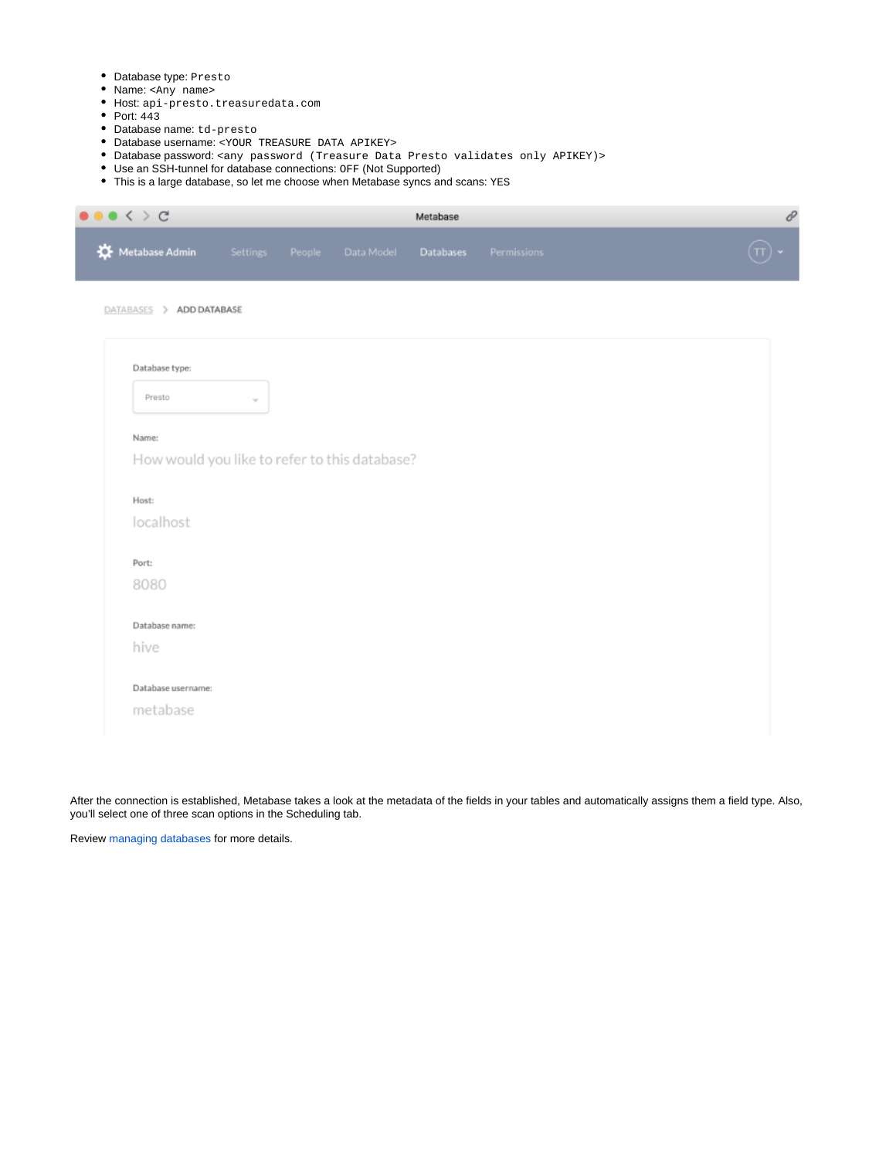- Database type: Presto
- Name: <Any name>
- Host: api-presto.treasuredata.com
- Port:  $443$
- Database name: td-presto
- Database username: <YOUR TREASURE DATA APIKEY>
- Database password: <any password (Treasure Data Presto validates only APIKEY)>
- Use an SSH-tunnel for database connections: OFF (Not Supported)
- This is a large database, so let me choose when Metabase syncs and scans: YES

| $\bullet$ < > $c$                             | Metabase |        |            |                  | 0           |              |  |
|-----------------------------------------------|----------|--------|------------|------------------|-------------|--------------|--|
| Metabase Admin                                | Settings | People | Data Model | <b>Databases</b> | Permissions | $\sqrt{\pi}$ |  |
| DATABASES > ADD DATABASE                      |          |        |            |                  |             |              |  |
|                                               |          |        |            |                  |             |              |  |
| Database type:                                |          |        |            |                  |             |              |  |
| Presto                                        | $\sim$   |        |            |                  |             |              |  |
|                                               |          |        |            |                  |             |              |  |
| Name:                                         |          |        |            |                  |             |              |  |
| How would you like to refer to this database? |          |        |            |                  |             |              |  |
|                                               |          |        |            |                  |             |              |  |
| Host:                                         |          |        |            |                  |             |              |  |
| localhost                                     |          |        |            |                  |             |              |  |
| Port:                                         |          |        |            |                  |             |              |  |
| 8080                                          |          |        |            |                  |             |              |  |
|                                               |          |        |            |                  |             |              |  |
| Database name:                                |          |        |            |                  |             |              |  |
| hive                                          |          |        |            |                  |             |              |  |
| Database username:                            |          |        |            |                  |             |              |  |
|                                               |          |        |            |                  |             |              |  |
| metabase                                      |          |        |            |                  |             |              |  |

After the connection is established, Metabase takes a look at the metadata of the fields in your tables and automatically assigns them a field type. Also, you'll select one of three scan options in the Scheduling tab.

Review [managing databases](https://www.metabase.com/docs/latest/administration-guide/01-managing-databases.html) for more details.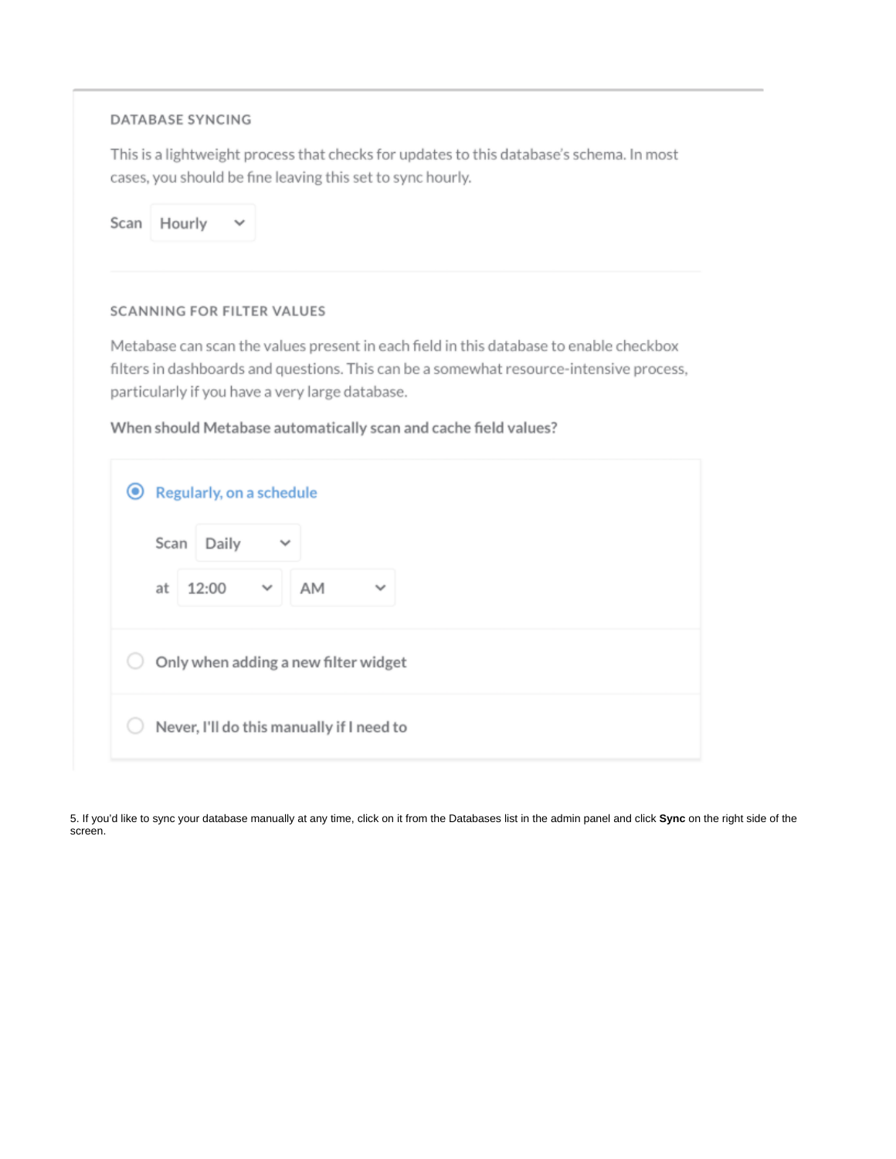### **DATABASE SYNCING**

This is a lightweight process that checks for updates to this database's schema. In most cases, you should be fine leaving this set to sync hourly.

Scan Hourly  $\checkmark$ 

#### **SCANNING FOR FILTER VALUES**

Metabase can scan the values present in each field in this database to enable checkbox filters in dashboards and questions. This can be a somewhat resource-intensive process, particularly if you have a very large database.

### When should Metabase automatically scan and cache field values?

| ◉<br>Regularly, on a schedule                     |  |
|---------------------------------------------------|--|
| Daily<br>Scan<br>$\checkmark$                     |  |
| 12:00<br>AM<br>$\checkmark$<br>at<br>$\checkmark$ |  |
| Only when adding a new filter widget              |  |
| Never, I'll do this manually if I need to         |  |

5. If you'd like to sync your database manually at any time, click on it from the Databases list in the admin panel and click Sync on the right side of the screen.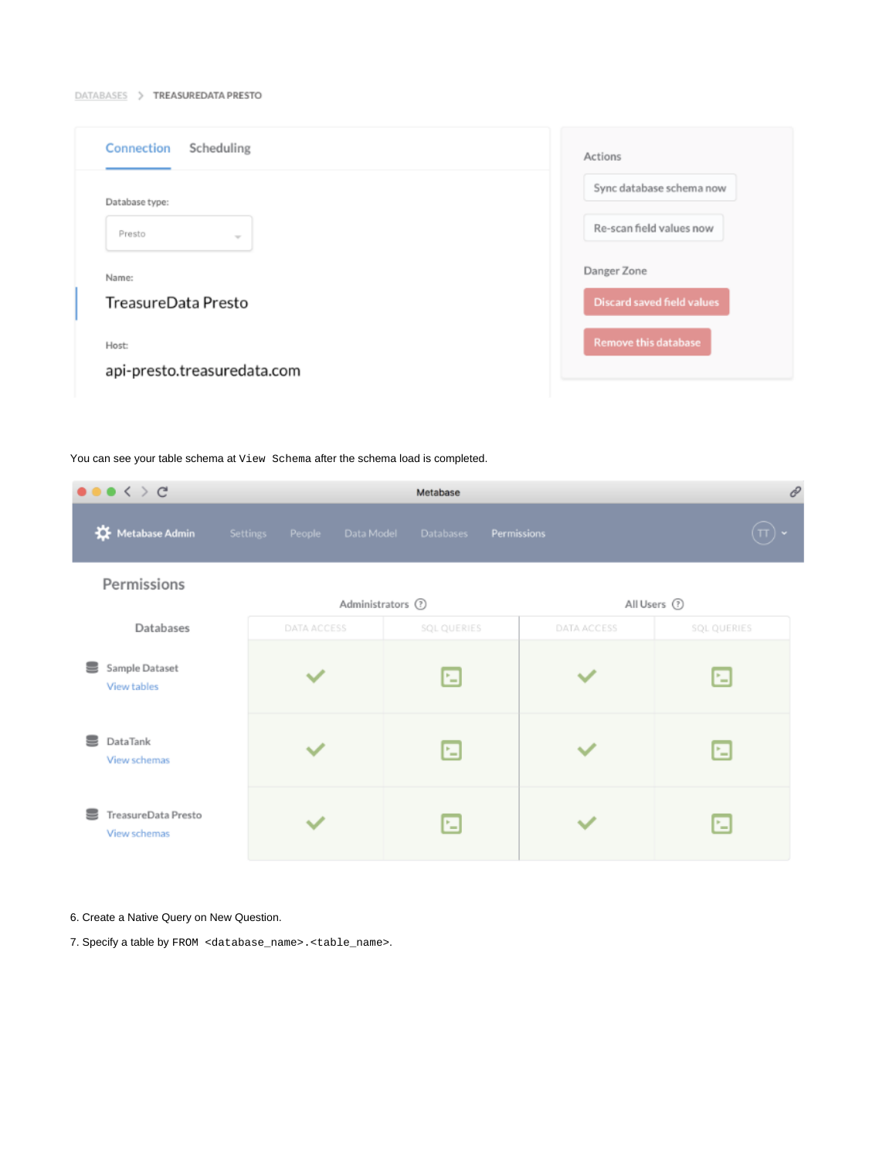#### DATABASES > TREASUREDATA PRESTO

| Connection<br>Scheduling             | Actions                           |
|--------------------------------------|-----------------------------------|
| Database type:                       | Sync database schema now          |
| Presto<br>$\sim$                     | Re-scan field values now          |
| Name:                                | Danger Zone                       |
| TreasureData Presto                  | <b>Discard saved field values</b> |
| Host:<br>api-presto.treasuredata.com | <b>Remove this database</b>       |

You can see your table schema at View Schema after the schema load is completed.

| $\bullet \bullet \bullet \Leftrightarrow \c$ |                                  | Metabase         |             | 8           |
|----------------------------------------------|----------------------------------|------------------|-------------|-------------|
| Metabase Admin                               | Settings<br>People<br>Data Model | Databases        | Permissions |             |
| Permissions                                  |                                  | Administrators 7 |             | All Users 2 |
| Databases                                    | DATA ACCESS                      | SQL QUERIES      | DATA ACCESS | SQL QUERIES |
| Sample Dataset<br>=<br>View tables           |                                  | 国                |             | ⊡           |
| DataTank<br>View schemas                     |                                  | 国                |             | ⊡           |
| TreasureData Presto<br>View schemas          |                                  | E                |             | ⊡           |

### 6. Create a Native Query on New Question.

7. Specify a table by FROM <database\_name>.<table\_name>.